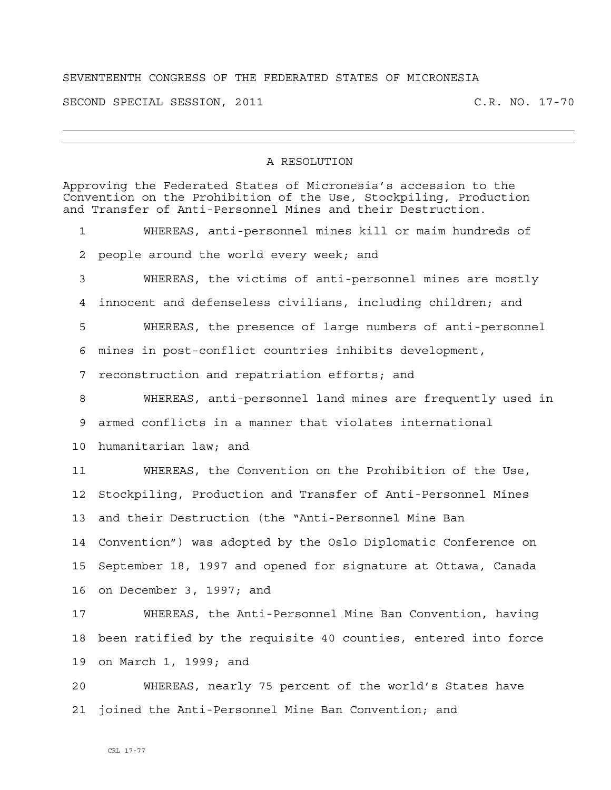## SEVENTEENTH CONGRESS OF THE FEDERATED STATES OF MICRONESIA

SECOND SPECIAL SESSION, 2011 C.R. NO. 17-70

## A RESOLUTION

| Approving the Federated States of Micronesia's accession to the<br>Convention on the Prohibition of the Use, Stockpiling, Production<br>and Transfer of Anti-Personnel Mines and their Destruction. |                                                                |
|-----------------------------------------------------------------------------------------------------------------------------------------------------------------------------------------------------|----------------------------------------------------------------|
| 1                                                                                                                                                                                                   | WHEREAS, anti-personnel mines kill or maim hundreds of         |
| 2                                                                                                                                                                                                   | people around the world every week; and                        |
| 3                                                                                                                                                                                                   | WHEREAS, the victims of anti-personnel mines are mostly        |
| 4                                                                                                                                                                                                   | innocent and defenseless civilians, including children; and    |
| 5                                                                                                                                                                                                   | WHEREAS, the presence of large numbers of anti-personnel       |
| 6                                                                                                                                                                                                   | mines in post-conflict countries inhibits development,         |
| 7                                                                                                                                                                                                   | reconstruction and repatriation efforts; and                   |
| 8                                                                                                                                                                                                   | WHEREAS, anti-personnel land mines are frequently used in      |
| 9                                                                                                                                                                                                   | armed conflicts in a manner that violates international        |
| 10                                                                                                                                                                                                  | humanitarian law; and                                          |
| 11                                                                                                                                                                                                  | WHEREAS, the Convention on the Prohibition of the Use,         |
| 12                                                                                                                                                                                                  | Stockpiling, Production and Transfer of Anti-Personnel Mines   |
| 13                                                                                                                                                                                                  | and their Destruction (the "Anti-Personnel Mine Ban            |
| 14                                                                                                                                                                                                  | Convention") was adopted by the Oslo Diplomatic Conference on  |
| 15                                                                                                                                                                                                  | September 18, 1997 and opened for signature at Ottawa, Canada  |
| 16                                                                                                                                                                                                  | on December 3, 1997; and                                       |
| 17                                                                                                                                                                                                  | WHEREAS, the Anti-Personnel Mine Ban Convention, having        |
| 18                                                                                                                                                                                                  | been ratified by the requisite 40 counties, entered into force |
| 19                                                                                                                                                                                                  | on March 1, 1999; and                                          |
| 20                                                                                                                                                                                                  | WHEREAS, nearly 75 percent of the world's States have          |
| 21                                                                                                                                                                                                  | joined the Anti-Personnel Mine Ban Convention; and             |